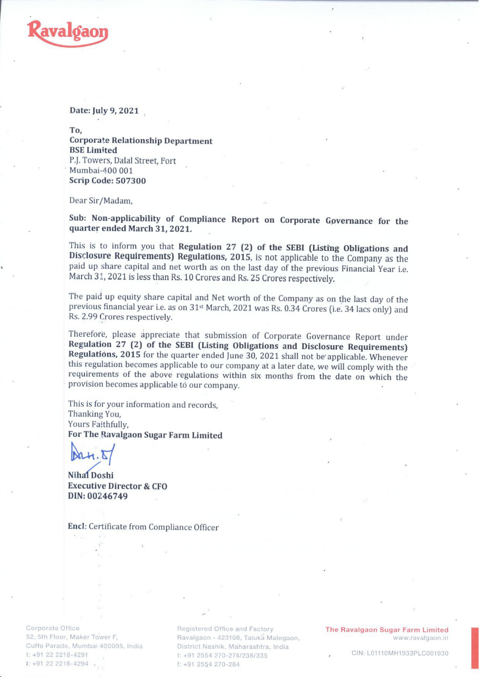

## Date: July 9, 2021

To, Corporate Relationship Department BSE Limited P.J. Towers, Dalal Street, Fort Mumbai-400 001 Scrip Code: 507300

Dear Sir/Madam,

Sub: Non-applicability of Compliance Report on Corporate Governance for the quarter ended March 31, 2021.

This is to inform you that Regulation 27 (2) of the SEBI (Listing Obligations and Disclosure Requirements) Regulations, 2015, is not applicable to the Company as the paid up share capital and net worth as on the last day o

The paid up equity share capital and Net worth of the Company as on the last day of the previous financial year i.e. as on 31st March, 2021 was Rs. 0.34 Crores (i.e. 34 lacs only) and Rs. 2.99 Crores respectively.

Therefore, please appreciate that submission of Corporate Governance Report under<br>Regulation 27 (2) of the SEBI (Listing Obligations and Disclosure Requirements)<br>Regulations, 2015 for the quarter ended June 30, 2021 shall

This is for your information and records, Thanking You, Yours Faithfully, For The Ravalgaon Sugar Farm Limited

Nihal Doshi Executive Director & CFO DIN: 00246749

Enct: Certificate from Compliance Officer

Corporate Office 52, 5th Floor, Maker Tower F, Cuffe Parade, Mumbai 400005, India t: +91 22 2218-4291 1: +91 22 2218-4294 .

Registered Office and Factory Ravalgaon - 423108, Taluka Malegaon, www.ravalgaon.in District Nashik, Maharashtra, India t: +91 2554 270-274/238/335 f: +91 2554 270-284

The Ravalgaon Sugar Farm Limited

and the state of the control of the control of the control of the control of the control of the control of the

CIN: L01110MH1933PLC001930